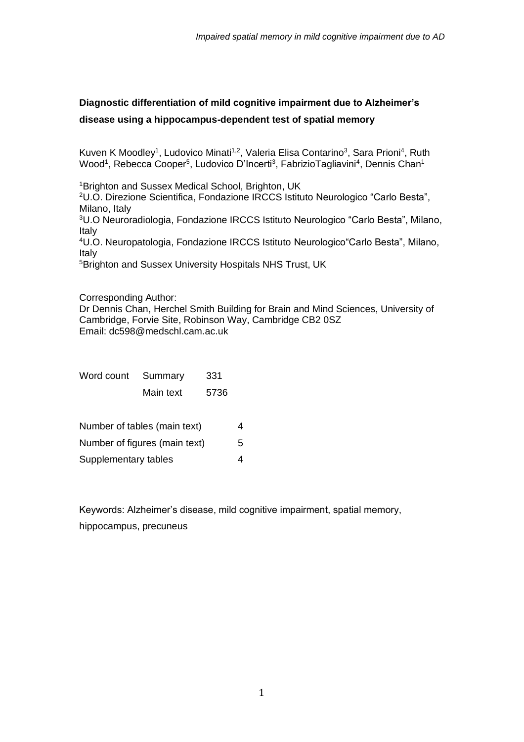# **Diagnostic differentiation of mild cognitive impairment due to Alzheimer's disease using a hippocampus-dependent test of spatial memory**

Kuven K Moodley<sup>1</sup>, Ludovico Minati<sup>1,2</sup>, Valeria Elisa Contarino<sup>3</sup>, Sara Prioni<sup>4</sup>, Ruth Wood<sup>1</sup>, Rebecca Cooper<sup>5</sup>, Ludovico D'Incerti<sup>3</sup>, FabrizioTagliavini<sup>4</sup>, Dennis Chan<sup>1</sup>

<sup>1</sup>Brighton and Sussex Medical School, Brighton, UK

<sup>2</sup>U.O. Direzione Scientifica, Fondazione IRCCS Istituto Neurologico "Carlo Besta", Milano, Italy

<sup>3</sup>U.O Neuroradiologia, Fondazione IRCCS Istituto Neurologico "Carlo Besta", Milano, Italy

<sup>4</sup>U.O. Neuropatologia, Fondazione IRCCS Istituto Neurologico"Carlo Besta", Milano, Italy

<sup>5</sup>Brighton and Sussex University Hospitals NHS Trust, UK

Corresponding Author:

Dr Dennis Chan, Herchel Smith Building for Brain and Mind Sciences, University of Cambridge, Forvie Site, Robinson Way, Cambridge CB2 0SZ Email: dc598@medschl.cam.ac.uk

| Word count                    | Summary   | 331  |   |
|-------------------------------|-----------|------|---|
|                               | Main text | 5736 |   |
| Number of tables (main text)  |           |      | 4 |
| Number of figures (main text) |           |      | 5 |
| Supplementary tables          |           |      |   |

Keywords: Alzheimer's disease, mild cognitive impairment, spatial memory, hippocampus, precuneus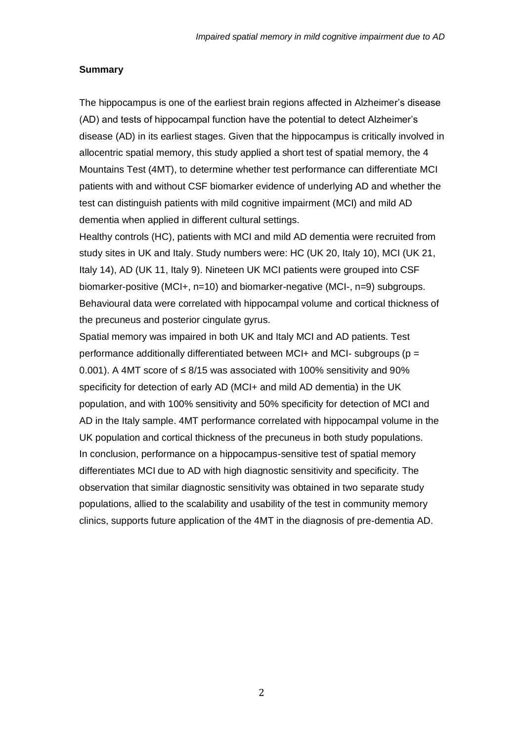#### **Summary**

The hippocampus is one of the earliest brain regions affected in Alzheimer's disease (AD) and tests of hippocampal function have the potential to detect Alzheimer's disease (AD) in its earliest stages. Given that the hippocampus is critically involved in allocentric spatial memory, this study applied a short test of spatial memory, the 4 Mountains Test (4MT), to determine whether test performance can differentiate MCI patients with and without CSF biomarker evidence of underlying AD and whether the test can distinguish patients with mild cognitive impairment (MCI) and mild AD dementia when applied in different cultural settings.

Healthy controls (HC), patients with MCI and mild AD dementia were recruited from study sites in UK and Italy. Study numbers were: HC (UK 20, Italy 10), MCI (UK 21, Italy 14), AD (UK 11, Italy 9). Nineteen UK MCI patients were grouped into CSF biomarker-positive (MCI+, n=10) and biomarker-negative (MCI-, n=9) subgroups. Behavioural data were correlated with hippocampal volume and cortical thickness of the precuneus and posterior cingulate gyrus.

Spatial memory was impaired in both UK and Italy MCI and AD patients. Test performance additionally differentiated between MCI+ and MCI- subgroups ( $p =$ 0.001). A 4MT score of  $\leq 8/15$  was associated with 100% sensitivity and 90% specificity for detection of early AD (MCI+ and mild AD dementia) in the UK population, and with 100% sensitivity and 50% specificity for detection of MCI and AD in the Italy sample. 4MT performance correlated with hippocampal volume in the UK population and cortical thickness of the precuneus in both study populations. In conclusion, performance on a hippocampus-sensitive test of spatial memory differentiates MCI due to AD with high diagnostic sensitivity and specificity. The observation that similar diagnostic sensitivity was obtained in two separate study populations, allied to the scalability and usability of the test in community memory clinics, supports future application of the 4MT in the diagnosis of pre-dementia AD.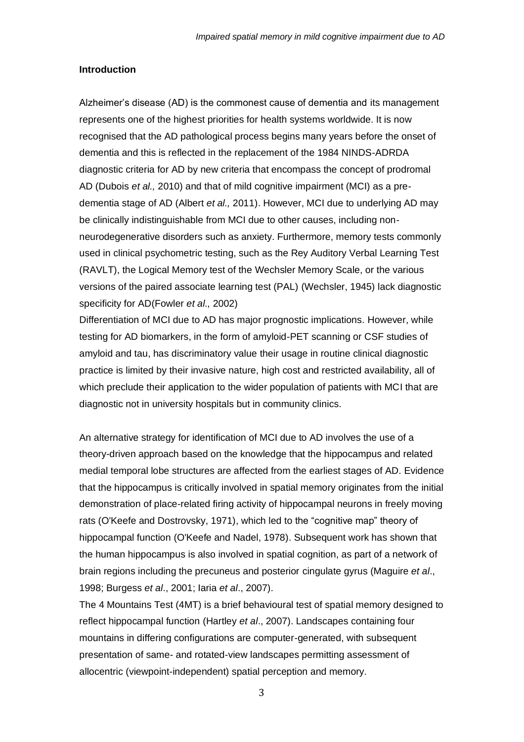#### **Introduction**

Alzheimer's disease (AD) is the commonest cause of dementia and its management represents one of the highest priorities for health systems worldwide. It is now recognised that the AD pathological process begins many years before the onset of dementia and this is reflected in the replacement of the 1984 NINDS-ADRDA diagnostic criteria for AD by new criteria that encompass the concept of prodromal AD (Dubois *et al.,* 2010) and that of mild cognitive impairment (MCI) as a predementia stage of AD (Albert *et al.,* 2011). However, MCI due to underlying AD may be clinically indistinguishable from MCI due to other causes, including nonneurodegenerative disorders such as anxiety. Furthermore, memory tests commonly used in clinical psychometric testing, such as the Rey Auditory Verbal Learning Test (RAVLT), the Logical Memory test of the Wechsler Memory Scale, or the various versions of the paired associate learning test (PAL) (Wechsler, 1945) lack diagnostic specificity for AD(Fowler *et al.,* 2002)

Differentiation of MCI due to AD has major prognostic implications. However, while testing for AD biomarkers, in the form of amyloid-PET scanning or CSF studies of amyloid and tau, has discriminatory value their usage in routine clinical diagnostic practice is limited by their invasive nature, high cost and restricted availability, all of which preclude their application to the wider population of patients with MCI that are diagnostic not in university hospitals but in community clinics.

An alternative strategy for identification of MCI due to AD involves the use of a theory-driven approach based on the knowledge that the hippocampus and related medial temporal lobe structures are affected from the earliest stages of AD. Evidence that the hippocampus is critically involved in spatial memory originates from the initial demonstration of place-related firing activity of hippocampal neurons in freely moving rats (O'Keefe and Dostrovsky, 1971), which led to the "cognitive map" theory of hippocampal function (O'Keefe and Nadel, 1978). Subsequent work has shown that the human hippocampus is also involved in spatial cognition, as part of a network of brain regions including the precuneus and posterior cingulate gyrus (Maguire *et al*., 1998; Burgess *et al*., 2001; Iaria *et al*., 2007).

The 4 Mountains Test (4MT) is a brief behavioural test of spatial memory designed to reflect hippocampal function (Hartley *et al*., 2007). Landscapes containing four mountains in differing configurations are computer-generated, with subsequent presentation of same- and rotated-view landscapes permitting assessment of allocentric (viewpoint-independent) spatial perception and memory.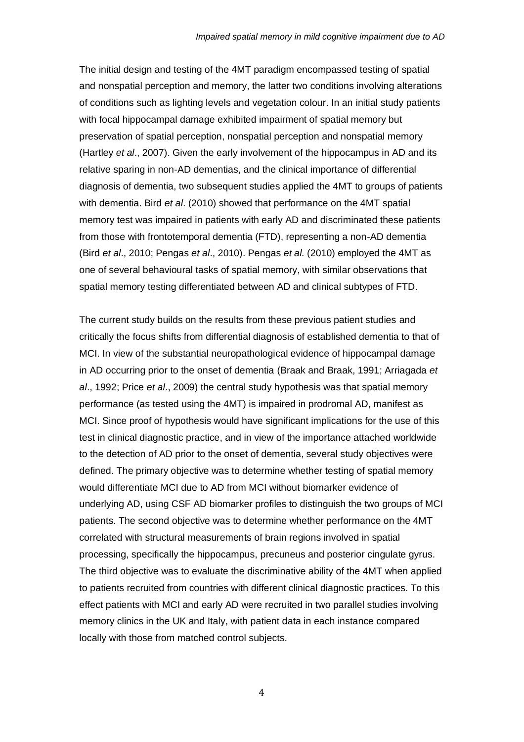The initial design and testing of the 4MT paradigm encompassed testing of spatial and nonspatial perception and memory, the latter two conditions involving alterations of conditions such as lighting levels and vegetation colour. In an initial study patients with focal hippocampal damage exhibited impairment of spatial memory but preservation of spatial perception, nonspatial perception and nonspatial memory (Hartley *et al*., 2007). Given the early involvement of the hippocampus in AD and its relative sparing in non-AD dementias, and the clinical importance of differential diagnosis of dementia, two subsequent studies applied the 4MT to groups of patients with dementia. Bird *et al*. (2010) showed that performance on the 4MT spatial memory test was impaired in patients with early AD and discriminated these patients from those with frontotemporal dementia (FTD), representing a non-AD dementia (Bird *et al*., 2010; Pengas *et al*., 2010). Pengas *et al.* (2010) employed the 4MT as one of several behavioural tasks of spatial memory, with similar observations that spatial memory testing differentiated between AD and clinical subtypes of FTD.

The current study builds on the results from these previous patient studies and critically the focus shifts from differential diagnosis of established dementia to that of MCI. In view of the substantial neuropathological evidence of hippocampal damage in AD occurring prior to the onset of dementia (Braak and Braak, 1991; Arriagada *et al*., 1992; Price *et al*., 2009) the central study hypothesis was that spatial memory performance (as tested using the 4MT) is impaired in prodromal AD, manifest as MCI. Since proof of hypothesis would have significant implications for the use of this test in clinical diagnostic practice, and in view of the importance attached worldwide to the detection of AD prior to the onset of dementia, several study objectives were defined. The primary objective was to determine whether testing of spatial memory would differentiate MCI due to AD from MCI without biomarker evidence of underlying AD, using CSF AD biomarker profiles to distinguish the two groups of MCI patients. The second objective was to determine whether performance on the 4MT correlated with structural measurements of brain regions involved in spatial processing, specifically the hippocampus, precuneus and posterior cingulate gyrus. The third objective was to evaluate the discriminative ability of the 4MT when applied to patients recruited from countries with different clinical diagnostic practices. To this effect patients with MCI and early AD were recruited in two parallel studies involving memory clinics in the UK and Italy, with patient data in each instance compared locally with those from matched control subjects.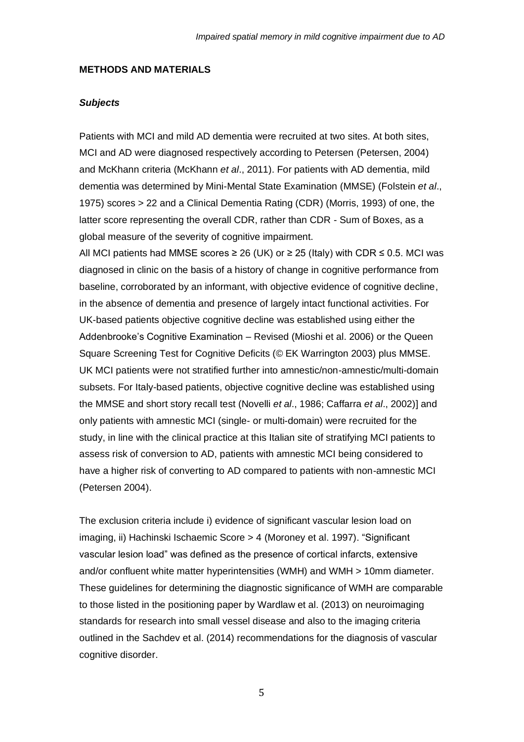#### **METHODS AND MATERIALS**

#### *Subjects*

Patients with MCI and mild AD dementia were recruited at two sites. At both sites, MCI and AD were diagnosed respectively according to Petersen (Petersen, 2004) and McKhann criteria (McKhann *et al*., 2011). For patients with AD dementia, mild dementia was determined by Mini-Mental State Examination (MMSE) (Folstein *et al*., 1975) scores > 22 and a Clinical Dementia Rating (CDR) (Morris, 1993) of one, the latter score representing the overall CDR, rather than CDR - Sum of Boxes, as a global measure of the severity of cognitive impairment.

All MCI patients had MMSE scores  $≥$  26 (UK) or  $≥$  25 (Italy) with CDR  $≤$  0.5. MCI was diagnosed in clinic on the basis of a history of change in cognitive performance from baseline, corroborated by an informant, with objective evidence of cognitive decline, in the absence of dementia and presence of largely intact functional activities. For UK-based patients objective cognitive decline was established using either the Addenbrooke's Cognitive Examination – Revised (Mioshi et al. 2006) or the Queen Square Screening Test for Cognitive Deficits (© EK Warrington 2003) plus MMSE. UK MCI patients were not stratified further into amnestic/non-amnestic/multi-domain subsets. For Italy-based patients, objective cognitive decline was established using the MMSE and short story recall test (Novelli *et al*., 1986; Caffarra *et al*., 2002)] and only patients with amnestic MCI (single- or multi-domain) were recruited for the study, in line with the clinical practice at this Italian site of stratifying MCI patients to assess risk of conversion to AD, patients with amnestic MCI being considered to have a higher risk of converting to AD compared to patients with non-amnestic MCI (Petersen 2004).

The exclusion criteria include i) evidence of significant vascular lesion load on imaging, ii) Hachinski Ischaemic Score > 4 (Moroney et al. 1997). "Significant vascular lesion load" was defined as the presence of cortical infarcts, extensive and/or confluent white matter hyperintensities (WMH) and WMH > 10mm diameter. These guidelines for determining the diagnostic significance of WMH are comparable to those listed in the positioning paper by Wardlaw et al. (2013) on neuroimaging standards for research into small vessel disease and also to the imaging criteria outlined in the Sachdev et al. (2014) recommendations for the diagnosis of vascular cognitive disorder.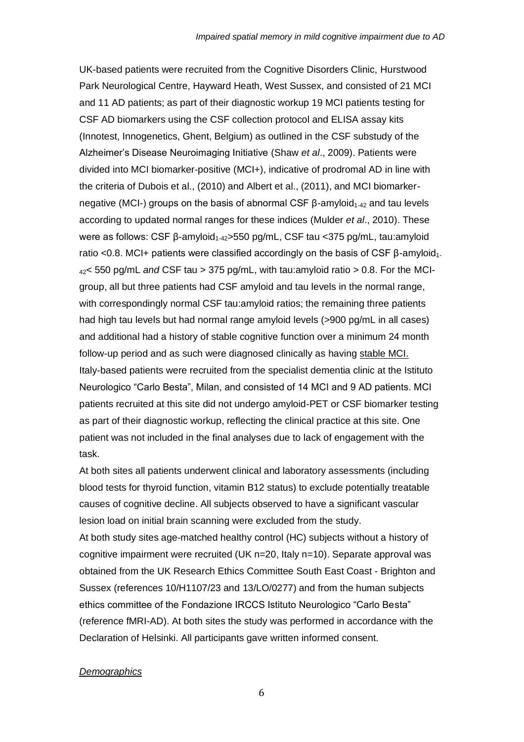UK-based patients were recruited from the Cognitive Disorders Clinic, Hurstwood Park Neurological Centre, Hayward Heath, West Sussex, and consisted of 21 MCI and 11 AD patients; as part of their diagnostic workup 19 MCI patients testing for CSF AD biomarkers using the CSF collection protocol and ELISA assay kits (Innotest, Innogenetics, Ghent, Belgium) as outlined in the CSF substudy of the Alzheimer's Disease Neuroimaging Initiative (Shaw *et al*., 2009). Patients were divided into MCI biomarker-positive (MCI+), indicative of prodromal AD in line with the criteria of Dubois et al., (2010) and Albert et al., (2011), and MCI biomarkernegative (MCI-) groups on the basis of abnormal CSF β-amyloid<sub>1-42</sub> and tau levels according to updated normal ranges for these indices (Mulder *et al*., 2010). These were as follows: CSF β-amyloid<sub>1-42</sub>>550 pg/mL, CSF tau <375 pg/mL, tau:amyloid ratio <0.8. MCI+ patients were classified accordingly on the basis of CSF β-amyloid<sub>1</sub>. <sup>42</sup>< 550 pg/mL *and* CSF tau > 375 pg/mL, with tau:amyloid ratio > 0.8. For the MCIgroup, all but three patients had CSF amyloid and tau levels in the normal range, with correspondingly normal CSF tau:amyloid ratios; the remaining three patients had high tau levels but had normal range amyloid levels (>900 pg/mL in all cases) and additional had a history of stable cognitive function over a minimum 24 month follow-up period and as such were diagnosed clinically as having stable MCI. Italy-based patients were recruited from the specialist dementia clinic at the Istituto Neurologico "Carlo Besta", Milan, and consisted of 14 MCI and 9 AD patients. MCI patients recruited at this site did not undergo amyloid-PET or CSF biomarker testing as part of their diagnostic workup, reflecting the clinical practice at this site. One patient was not included in the final analyses due to lack of engagement with the task.

At both sites all patients underwent clinical and laboratory assessments (including blood tests for thyroid function, vitamin B12 status) to exclude potentially treatable causes of cognitive decline. All subjects observed to have a significant vascular lesion load on initial brain scanning were excluded from the study.

At both study sites age-matched healthy control (HC) subjects without a history of cognitive impairment were recruited (UK n=20, Italy n=10). Separate approval was obtained from the UK Research Ethics Committee South East Coast - Brighton and Sussex (references 10/H1107/23 and 13/LO/0277) and from the human subjects ethics committee of the Fondazione IRCCS Istituto Neurologico "Carlo Besta" (reference fMRI-AD). At both sites the study was performed in accordance with the Declaration of Helsinki. All participants gave written informed consent.

#### *Demographics*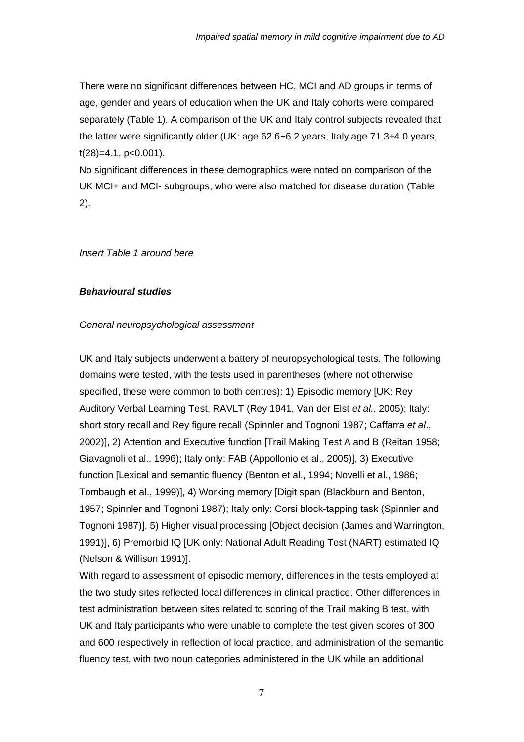There were no significant differences between HC, MCI and AD groups in terms of age, gender and years of education when the UK and Italy cohorts were compared separately (Table 1). A comparison of the UK and Italy control subjects revealed that the latter were significantly older (UK: age  $62.6 \pm 6.2$  years, Italy age  $71.3 \pm 4.0$  years,  $t(28)=4.1, p<0.001$ ).

No significant differences in these demographics were noted on comparison of the UK MCI+ and MCI- subgroups, who were also matched for disease duration (Table 2).

# *Insert Table 1 around here*

# *Behavioural studies*

# *General neuropsychological assessment*

UK and Italy subjects underwent a battery of neuropsychological tests. The following domains were tested, with the tests used in parentheses (where not otherwise specified, these were common to both centres): 1) Episodic memory [UK: Rey Auditory Verbal Learning Test, RAVLT (Rey 1941, Van der Elst *et al.*, 2005); Italy: short story recall and Rey figure recall (Spinnler and Tognoni 1987; Caffarra *et al*., 2002)], 2) Attention and Executive function [Trail Making Test A and B (Reitan 1958; Giavagnoli et al., 1996); Italy only: FAB (Appollonio et al., 2005)], 3) Executive function [Lexical and semantic fluency (Benton et al., 1994; Novelli et al., 1986; Tombaugh et al., 1999)], 4) Working memory [Digit span (Blackburn and Benton, 1957; Spinnler and Tognoni 1987); Italy only: Corsi block-tapping task (Spinnler and Tognoni 1987)], 5) Higher visual processing [Object decision (James and Warrington, 1991)], 6) Premorbid IQ [UK only: National Adult Reading Test (NART) estimated IQ (Nelson & Willison 1991)].

With regard to assessment of episodic memory, differences in the tests employed at the two study sites reflected local differences in clinical practice. Other differences in test administration between sites related to scoring of the Trail making B test, with UK and Italy participants who were unable to complete the test given scores of 300 and 600 respectively in reflection of local practice, and administration of the semantic fluency test, with two noun categories administered in the UK while an additional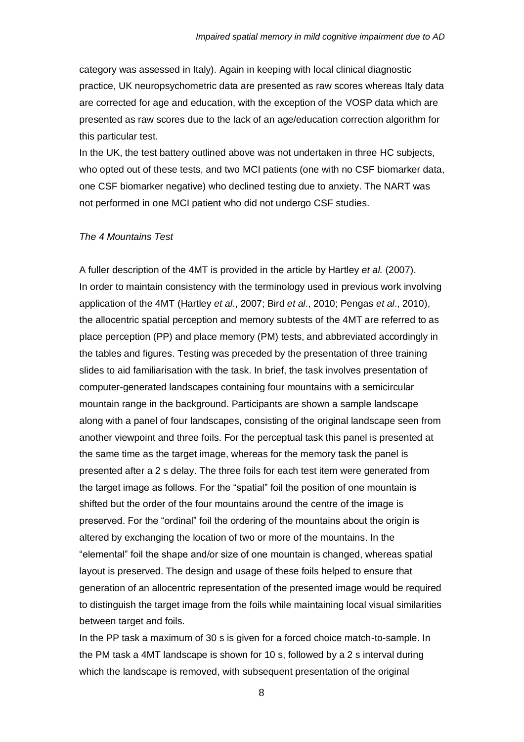category was assessed in Italy). Again in keeping with local clinical diagnostic practice, UK neuropsychometric data are presented as raw scores whereas Italy data are corrected for age and education, with the exception of the VOSP data which are presented as raw scores due to the lack of an age/education correction algorithm for this particular test.

In the UK, the test battery outlined above was not undertaken in three HC subjects, who opted out of these tests, and two MCI patients (one with no CSF biomarker data, one CSF biomarker negative) who declined testing due to anxiety. The NART was not performed in one MCI patient who did not undergo CSF studies.

#### *The 4 Mountains Test*

A fuller description of the 4MT is provided in the article by Hartley *et al.* (2007). In order to maintain consistency with the terminology used in previous work involving application of the 4MT (Hartley *et al*., 2007; Bird *et al*., 2010; Pengas *et al*., 2010), the allocentric spatial perception and memory subtests of the 4MT are referred to as place perception (PP) and place memory (PM) tests, and abbreviated accordingly in the tables and figures. Testing was preceded by the presentation of three training slides to aid familiarisation with the task. In brief, the task involves presentation of computer-generated landscapes containing four mountains with a semicircular mountain range in the background. Participants are shown a sample landscape along with a panel of four landscapes, consisting of the original landscape seen from another viewpoint and three foils. For the perceptual task this panel is presented at the same time as the target image, whereas for the memory task the panel is presented after a 2 s delay. The three foils for each test item were generated from the target image as follows. For the "spatial" foil the position of one mountain is shifted but the order of the four mountains around the centre of the image is preserved. For the "ordinal" foil the ordering of the mountains about the origin is altered by exchanging the location of two or more of the mountains. In the "elemental" foil the shape and/or size of one mountain is changed, whereas spatial layout is preserved. The design and usage of these foils helped to ensure that generation of an allocentric representation of the presented image would be required to distinguish the target image from the foils while maintaining local visual similarities between target and foils.

In the PP task a maximum of 30 s is given for a forced choice match-to-sample. In the PM task a 4MT landscape is shown for 10 s, followed by a 2 s interval during which the landscape is removed, with subsequent presentation of the original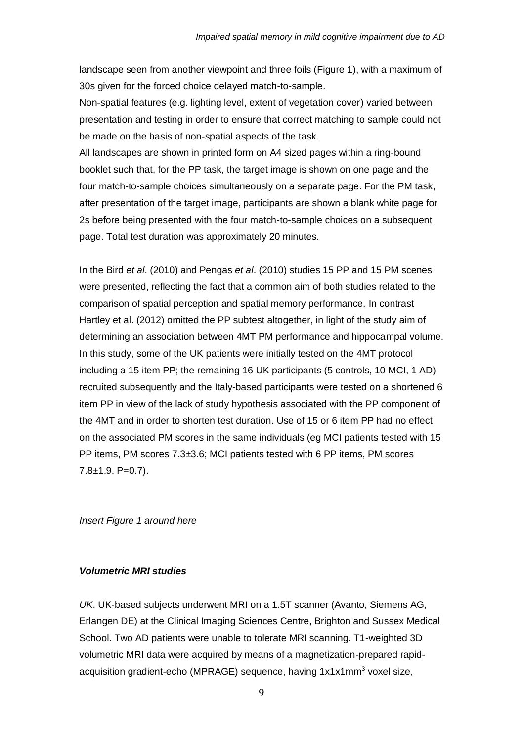landscape seen from another viewpoint and three foils (Figure 1), with a maximum of 30s given for the forced choice delayed match-to-sample.

Non-spatial features (e.g. lighting level, extent of vegetation cover) varied between presentation and testing in order to ensure that correct matching to sample could not be made on the basis of non-spatial aspects of the task.

All landscapes are shown in printed form on A4 sized pages within a ring-bound booklet such that, for the PP task, the target image is shown on one page and the four match-to-sample choices simultaneously on a separate page. For the PM task, after presentation of the target image, participants are shown a blank white page for 2s before being presented with the four match-to-sample choices on a subsequent page. Total test duration was approximately 20 minutes.

In the Bird *et al*. (2010) and Pengas *et al*. (2010) studies 15 PP and 15 PM scenes were presented, reflecting the fact that a common aim of both studies related to the comparison of spatial perception and spatial memory performance. In contrast Hartley et al. (2012) omitted the PP subtest altogether, in light of the study aim of determining an association between 4MT PM performance and hippocampal volume. In this study, some of the UK patients were initially tested on the 4MT protocol including a 15 item PP; the remaining 16 UK participants (5 controls, 10 MCI, 1 AD) recruited subsequently and the Italy-based participants were tested on a shortened 6 item PP in view of the lack of study hypothesis associated with the PP component of the 4MT and in order to shorten test duration. Use of 15 or 6 item PP had no effect on the associated PM scores in the same individuals (eg MCI patients tested with 15 PP items, PM scores 7.3±3.6; MCI patients tested with 6 PP items, PM scores  $7.8 \pm 1.9$ . P=0.7).

*Insert Figure 1 around here*

#### *Volumetric MRI studies*

*UK*. UK-based subjects underwent MRI on a 1.5T scanner (Avanto, Siemens AG, Erlangen DE) at the Clinical Imaging Sciences Centre, Brighton and Sussex Medical School. Two AD patients were unable to tolerate MRI scanning. T1-weighted 3D volumetric MRI data were acquired by means of a magnetization-prepared rapidacquisition gradient-echo (MPRAGE) sequence, having 1x1x1mm<sup>3</sup> voxel size,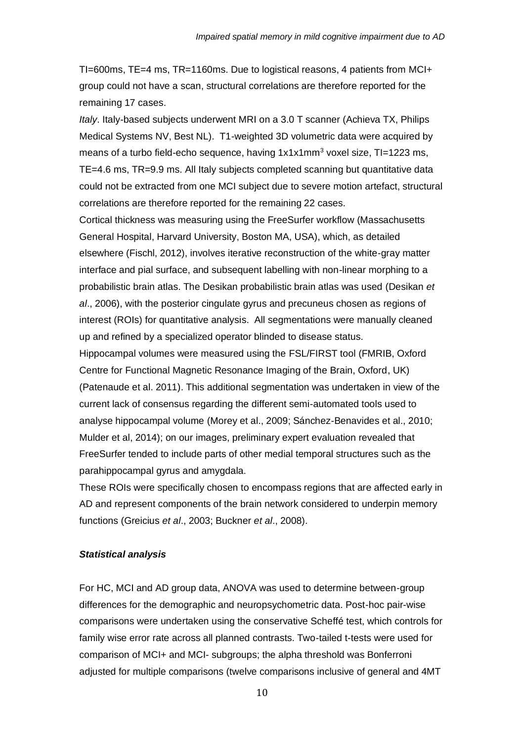TI=600ms, TE=4 ms, TR=1160ms. Due to logistical reasons, 4 patients from MCI+ group could not have a scan, structural correlations are therefore reported for the remaining 17 cases.

*Italy*. Italy-based subjects underwent MRI on a 3.0 T scanner (Achieva TX, Philips Medical Systems NV, Best NL). T1-weighted 3D volumetric data were acquired by means of a turbo field-echo sequence, having  $1x1x1mm<sup>3</sup>$  voxel size, TI=1223 ms, TE=4.6 ms, TR=9.9 ms. All Italy subjects completed scanning but quantitative data could not be extracted from one MCI subject due to severe motion artefact, structural correlations are therefore reported for the remaining 22 cases.

Cortical thickness was measuring using the FreeSurfer workflow (Massachusetts General Hospital, Harvard University, Boston MA, USA), which, as detailed elsewhere (Fischl, 2012), involves iterative reconstruction of the white-gray matter interface and pial surface, and subsequent labelling with non-linear morphing to a probabilistic brain atlas. The Desikan probabilistic brain atlas was used (Desikan *et al*., 2006), with the posterior cingulate gyrus and precuneus chosen as regions of interest (ROIs) for quantitative analysis. All segmentations were manually cleaned up and refined by a specialized operator blinded to disease status.

Hippocampal volumes were measured using the FSL/FIRST tool (FMRIB, Oxford Centre for Functional Magnetic Resonance Imaging of the Brain, Oxford, UK) (Patenaude et al. 2011). This additional segmentation was undertaken in view of the current lack of consensus regarding the different semi-automated tools used to analyse hippocampal volume (Morey et al., 2009; Sánchez-Benavides et al., 2010; Mulder et al, 2014); on our images, preliminary expert evaluation revealed that FreeSurfer tended to include parts of other medial temporal structures such as the parahippocampal gyrus and amygdala.

These ROIs were specifically chosen to encompass regions that are affected early in AD and represent components of the brain network considered to underpin memory functions (Greicius *et al*., 2003; Buckner *et al*., 2008).

## *Statistical analysis*

For HC, MCI and AD group data, ANOVA was used to determine between-group differences for the demographic and neuropsychometric data. Post-hoc pair-wise comparisons were undertaken using the conservative Scheffé test, which controls for family wise error rate across all planned contrasts. Two-tailed t-tests were used for comparison of MCI+ and MCI- subgroups; the alpha threshold was Bonferroni adjusted for multiple comparisons (twelve comparisons inclusive of general and 4MT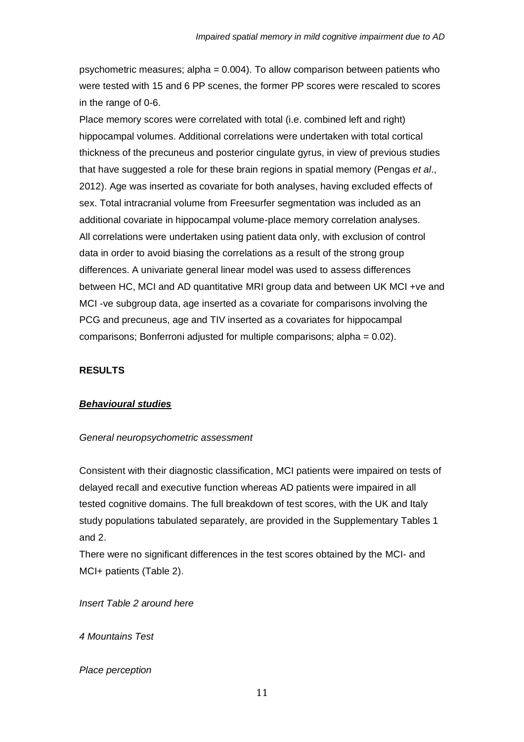psychometric measures; alpha = 0.004). To allow comparison between patients who were tested with 15 and 6 PP scenes, the former PP scores were rescaled to scores in the range of 0-6.

Place memory scores were correlated with total (i.e. combined left and right) hippocampal volumes. Additional correlations were undertaken with total cortical thickness of the precuneus and posterior cingulate gyrus, in view of previous studies that have suggested a role for these brain regions in spatial memory (Pengas *et al*., 2012). Age was inserted as covariate for both analyses, having excluded effects of sex. Total intracranial volume from Freesurfer segmentation was included as an additional covariate in hippocampal volume-place memory correlation analyses. All correlations were undertaken using patient data only, with exclusion of control data in order to avoid biasing the correlations as a result of the strong group differences. A univariate general linear model was used to assess differences between HC, MCI and AD quantitative MRI group data and between UK MCI +ve and MCI -ve subgroup data, age inserted as a covariate for comparisons involving the PCG and precuneus, age and TIV inserted as a covariates for hippocampal comparisons; Bonferroni adjusted for multiple comparisons; alpha = 0.02).

## **RESULTS**

### *Behavioural studies*

### *General neuropsychometric assessment*

Consistent with their diagnostic classification, MCI patients were impaired on tests of delayed recall and executive function whereas AD patients were impaired in all tested cognitive domains. The full breakdown of test scores, with the UK and Italy study populations tabulated separately, are provided in the Supplementary Tables 1 and 2.

There were no significant differences in the test scores obtained by the MCI- and MCI+ patients (Table 2).

*Insert Table 2 around here*

*4 Mountains Test*

*Place perception*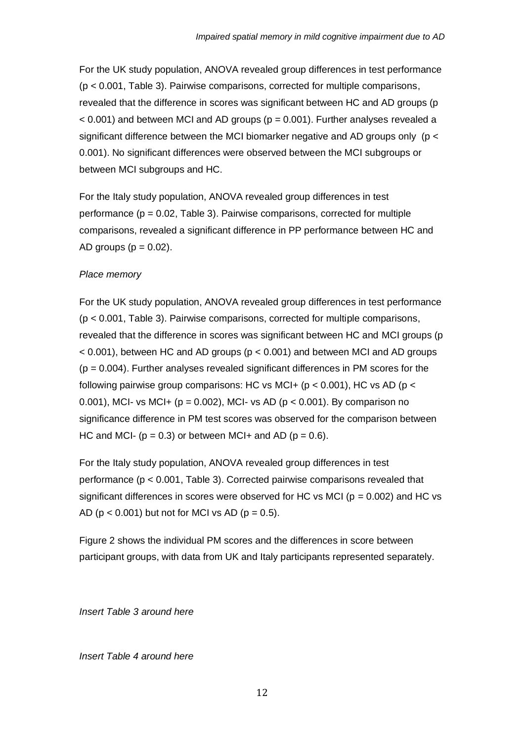For the UK study population, ANOVA revealed group differences in test performance (p < 0.001, Table 3). Pairwise comparisons, corrected for multiple comparisons, revealed that the difference in scores was significant between HC and AD groups (p  $<$  0.001) and between MCI and AD groups ( $p = 0.001$ ). Further analyses revealed a significant difference between the MCI biomarker negative and AD groups only ( $p <$ 0.001). No significant differences were observed between the MCI subgroups or between MCI subgroups and HC.

For the Italy study population, ANOVA revealed group differences in test performance  $(p = 0.02,$  Table 3). Pairwise comparisons, corrected for multiple comparisons, revealed a significant difference in PP performance between HC and AD groups  $(p = 0.02)$ .

## *Place memory*

For the UK study population, ANOVA revealed group differences in test performance (p < 0.001, Table 3). Pairwise comparisons, corrected for multiple comparisons, revealed that the difference in scores was significant between HC and MCI groups (p < 0.001), between HC and AD groups (p < 0.001) and between MCI and AD groups  $(p = 0.004)$ . Further analyses revealed significant differences in PM scores for the following pairwise group comparisons: HC vs MCI+ ( $p < 0.001$ ), HC vs AD ( $p <$ 0.001), MCI- vs MCI+ ( $p = 0.002$ ), MCI- vs AD ( $p < 0.001$ ). By comparison no significance difference in PM test scores was observed for the comparison between HC and MCI-  $(p = 0.3)$  or between MCI+ and AD  $(p = 0.6)$ .

For the Italy study population, ANOVA revealed group differences in test performance ( $p < 0.001$ , Table 3). Corrected pairwise comparisons revealed that significant differences in scores were observed for HC vs MCI ( $p = 0.002$ ) and HC vs AD ( $p < 0.001$ ) but not for MCI vs AD ( $p = 0.5$ ).

Figure 2 shows the individual PM scores and the differences in score between participant groups, with data from UK and Italy participants represented separately.

## *Insert Table 3 around here*

*Insert Table 4 around here*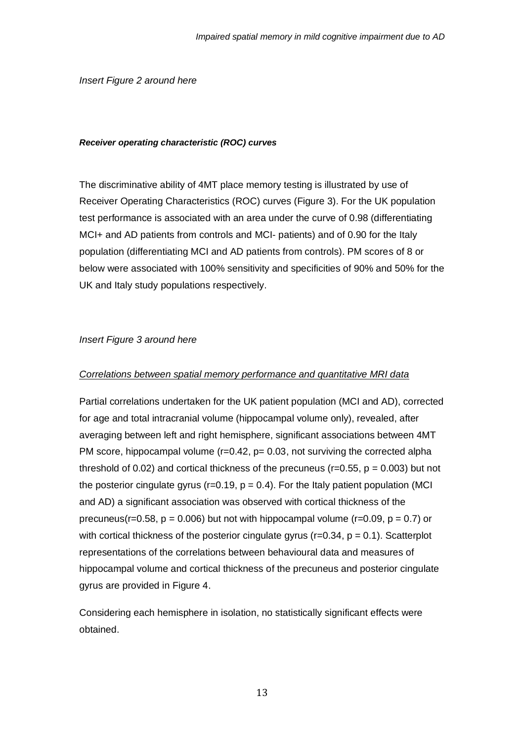### *Insert Figure 2 around here*

#### *Receiver operating characteristic (ROC) curves*

The discriminative ability of 4MT place memory testing is illustrated by use of Receiver Operating Characteristics (ROC) curves (Figure 3). For the UK population test performance is associated with an area under the curve of 0.98 (differentiating MCI+ and AD patients from controls and MCI- patients) and of 0.90 for the Italy population (differentiating MCI and AD patients from controls). PM scores of 8 or below were associated with 100% sensitivity and specificities of 90% and 50% for the UK and Italy study populations respectively.

### *Insert Figure 3 around here*

### *Correlations between spatial memory performance and quantitative MRI data*

Partial correlations undertaken for the UK patient population (MCI and AD), corrected for age and total intracranial volume (hippocampal volume only), revealed, after averaging between left and right hemisphere, significant associations between 4MT PM score, hippocampal volume  $(r=0.42, p=0.03, \text{not surviving the corrected alpha})$ threshold of 0.02) and cortical thickness of the precuneus ( $r=0.55$ ,  $p = 0.003$ ) but not the posterior cingulate gyrus ( $r=0.19$ ,  $p = 0.4$ ). For the Italy patient population (MCI and AD) a significant association was observed with cortical thickness of the precuneus( $r=0.58$ ,  $p = 0.006$ ) but not with hippocampal volume ( $r=0.09$ ,  $p = 0.7$ ) or with cortical thickness of the posterior cingulate gyrus ( $r=0.34$ ,  $p=0.1$ ). Scatterplot representations of the correlations between behavioural data and measures of hippocampal volume and cortical thickness of the precuneus and posterior cingulate gyrus are provided in Figure 4.

Considering each hemisphere in isolation, no statistically significant effects were obtained.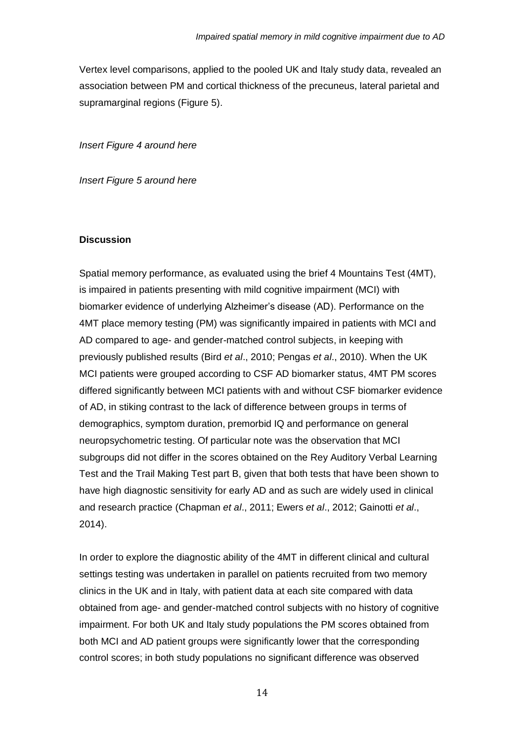Vertex level comparisons, applied to the pooled UK and Italy study data, revealed an association between PM and cortical thickness of the precuneus, lateral parietal and supramarginal regions (Figure 5).

*Insert Figure 4 around here*

*Insert Figure 5 around here*

# **Discussion**

Spatial memory performance, as evaluated using the brief 4 Mountains Test (4MT), is impaired in patients presenting with mild cognitive impairment (MCI) with biomarker evidence of underlying Alzheimer's disease (AD). Performance on the 4MT place memory testing (PM) was significantly impaired in patients with MCI and AD compared to age- and gender-matched control subjects, in keeping with previously published results (Bird *et al*., 2010; Pengas *et al*., 2010). When the UK MCI patients were grouped according to CSF AD biomarker status, 4MT PM scores differed significantly between MCI patients with and without CSF biomarker evidence of AD, in stiking contrast to the lack of difference between groups in terms of demographics, symptom duration, premorbid IQ and performance on general neuropsychometric testing. Of particular note was the observation that MCI subgroups did not differ in the scores obtained on the Rey Auditory Verbal Learning Test and the Trail Making Test part B, given that both tests that have been shown to have high diagnostic sensitivity for early AD and as such are widely used in clinical and research practice (Chapman *et al*., 2011; Ewers *et al*., 2012; Gainotti *et al*., 2014).

In order to explore the diagnostic ability of the 4MT in different clinical and cultural settings testing was undertaken in parallel on patients recruited from two memory clinics in the UK and in Italy, with patient data at each site compared with data obtained from age- and gender-matched control subjects with no history of cognitive impairment. For both UK and Italy study populations the PM scores obtained from both MCI and AD patient groups were significantly lower that the corresponding control scores; in both study populations no significant difference was observed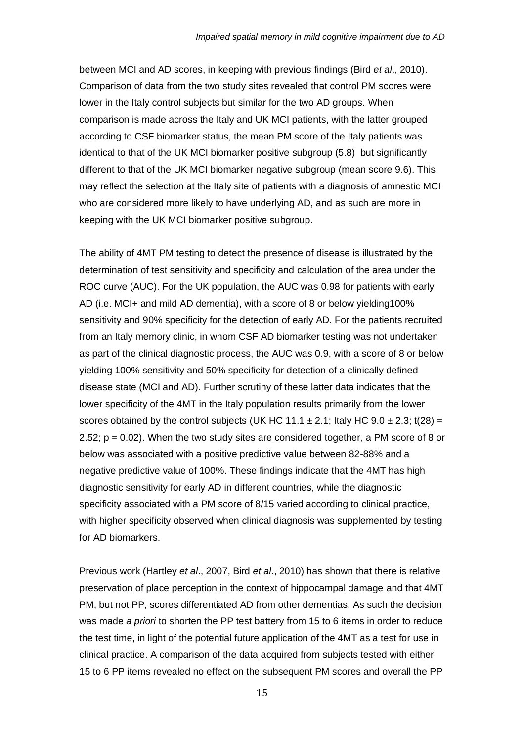between MCI and AD scores, in keeping with previous findings (Bird *et al*., 2010). Comparison of data from the two study sites revealed that control PM scores were lower in the Italy control subjects but similar for the two AD groups. When comparison is made across the Italy and UK MCI patients, with the latter grouped according to CSF biomarker status, the mean PM score of the Italy patients was identical to that of the UK MCI biomarker positive subgroup (5.8) but significantly different to that of the UK MCI biomarker negative subgroup (mean score 9.6). This may reflect the selection at the Italy site of patients with a diagnosis of amnestic MCI who are considered more likely to have underlying AD, and as such are more in keeping with the UK MCI biomarker positive subgroup.

The ability of 4MT PM testing to detect the presence of disease is illustrated by the determination of test sensitivity and specificity and calculation of the area under the ROC curve (AUC). For the UK population, the AUC was 0.98 for patients with early AD (i.e. MCI+ and mild AD dementia), with a score of 8 or below yielding100% sensitivity and 90% specificity for the detection of early AD. For the patients recruited from an Italy memory clinic, in whom CSF AD biomarker testing was not undertaken as part of the clinical diagnostic process, the AUC was 0.9, with a score of 8 or below yielding 100% sensitivity and 50% specificity for detection of a clinically defined disease state (MCI and AD). Further scrutiny of these latter data indicates that the lower specificity of the 4MT in the Italy population results primarily from the lower scores obtained by the control subjects (UK HC 11.1  $\pm$  2.1; Italy HC 9.0  $\pm$  2.3; t(28) = 2.52;  $p = 0.02$ ). When the two study sites are considered together, a PM score of 8 or below was associated with a positive predictive value between 82-88% and a negative predictive value of 100%. These findings indicate that the 4MT has high diagnostic sensitivity for early AD in different countries, while the diagnostic specificity associated with a PM score of 8/15 varied according to clinical practice, with higher specificity observed when clinical diagnosis was supplemented by testing for AD biomarkers.

Previous work (Hartley *et al*., 2007, Bird *et al*., 2010) has shown that there is relative preservation of place perception in the context of hippocampal damage and that 4MT PM, but not PP, scores differentiated AD from other dementias. As such the decision was made *a priori* to shorten the PP test battery from 15 to 6 items in order to reduce the test time, in light of the potential future application of the 4MT as a test for use in clinical practice. A comparison of the data acquired from subjects tested with either 15 to 6 PP items revealed no effect on the subsequent PM scores and overall the PP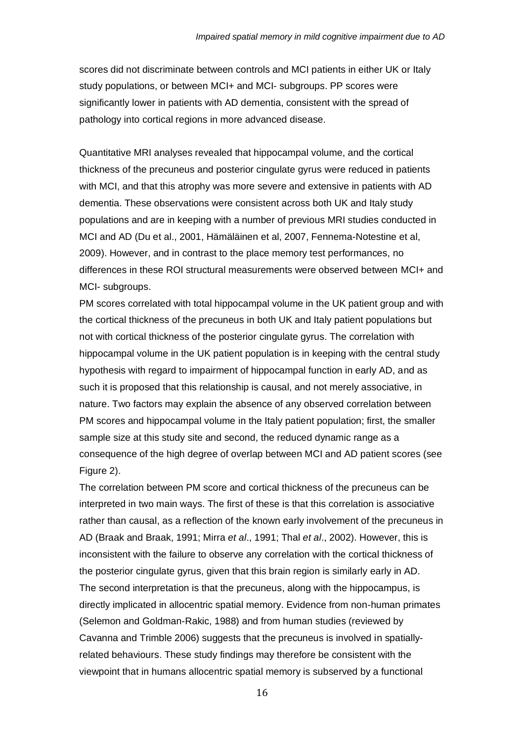scores did not discriminate between controls and MCI patients in either UK or Italy study populations, or between MCI+ and MCI- subgroups. PP scores were significantly lower in patients with AD dementia, consistent with the spread of pathology into cortical regions in more advanced disease.

Quantitative MRI analyses revealed that hippocampal volume, and the cortical thickness of the precuneus and posterior cingulate gyrus were reduced in patients with MCI, and that this atrophy was more severe and extensive in patients with AD dementia. These observations were consistent across both UK and Italy study populations and are in keeping with a number of previous MRI studies conducted in MCI and AD (Du et al., 2001, Hämäläinen et al, 2007, Fennema-Notestine et al, 2009). However, and in contrast to the place memory test performances, no differences in these ROI structural measurements were observed between MCI+ and MCI- subgroups.

PM scores correlated with total hippocampal volume in the UK patient group and with the cortical thickness of the precuneus in both UK and Italy patient populations but not with cortical thickness of the posterior cingulate gyrus. The correlation with hippocampal volume in the UK patient population is in keeping with the central study hypothesis with regard to impairment of hippocampal function in early AD, and as such it is proposed that this relationship is causal, and not merely associative, in nature. Two factors may explain the absence of any observed correlation between PM scores and hippocampal volume in the Italy patient population; first, the smaller sample size at this study site and second, the reduced dynamic range as a consequence of the high degree of overlap between MCI and AD patient scores (see Figure 2).

The correlation between PM score and cortical thickness of the precuneus can be interpreted in two main ways. The first of these is that this correlation is associative rather than causal, as a reflection of the known early involvement of the precuneus in AD (Braak and Braak, 1991; Mirra *et al*., 1991; Thal *et al*., 2002). However, this is inconsistent with the failure to observe any correlation with the cortical thickness of the posterior cingulate gyrus, given that this brain region is similarly early in AD. The second interpretation is that the precuneus, along with the hippocampus, is directly implicated in allocentric spatial memory. Evidence from non-human primates (Selemon and Goldman-Rakic, 1988) and from human studies (reviewed by Cavanna and Trimble 2006) suggests that the precuneus is involved in spatiallyrelated behaviours. These study findings may therefore be consistent with the viewpoint that in humans allocentric spatial memory is subserved by a functional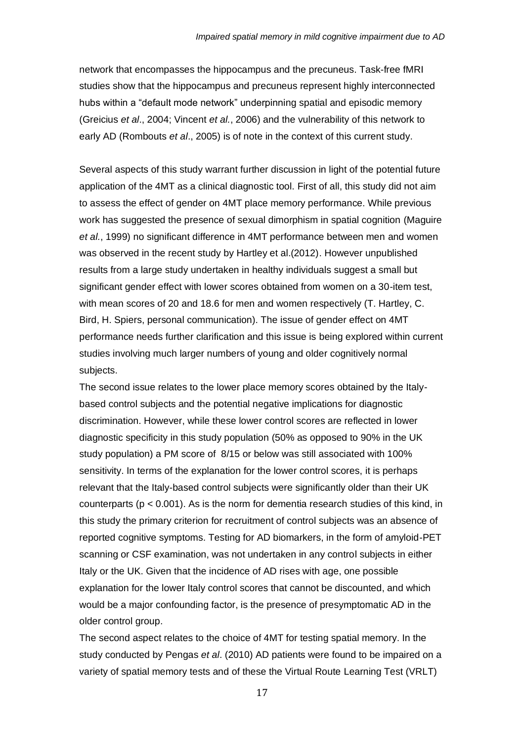network that encompasses the hippocampus and the precuneus. Task-free fMRI studies show that the hippocampus and precuneus represent highly interconnected hubs within a "default mode network" underpinning spatial and episodic memory (Greicius *et al*., 2004; Vincent *et al.*, 2006) and the vulnerability of this network to early AD (Rombouts *et al*., 2005) is of note in the context of this current study.

Several aspects of this study warrant further discussion in light of the potential future application of the 4MT as a clinical diagnostic tool. First of all, this study did not aim to assess the effect of gender on 4MT place memory performance. While previous work has suggested the presence of sexual dimorphism in spatial cognition (Maguire *et al.*, 1999) no significant difference in 4MT performance between men and women was observed in the recent study by Hartley et al.(2012). However unpublished results from a large study undertaken in healthy individuals suggest a small but significant gender effect with lower scores obtained from women on a 30-item test, with mean scores of 20 and 18.6 for men and women respectively (T. Hartley, C. Bird, H. Spiers, personal communication). The issue of gender effect on 4MT performance needs further clarification and this issue is being explored within current studies involving much larger numbers of young and older cognitively normal subjects.

The second issue relates to the lower place memory scores obtained by the Italybased control subjects and the potential negative implications for diagnostic discrimination. However, while these lower control scores are reflected in lower diagnostic specificity in this study population (50% as opposed to 90% in the UK study population) a PM score of 8/15 or below was still associated with 100% sensitivity. In terms of the explanation for the lower control scores, it is perhaps relevant that the Italy-based control subjects were significantly older than their UK counterparts ( $p < 0.001$ ). As is the norm for dementia research studies of this kind, in this study the primary criterion for recruitment of control subjects was an absence of reported cognitive symptoms. Testing for AD biomarkers, in the form of amyloid-PET scanning or CSF examination, was not undertaken in any control subjects in either Italy or the UK. Given that the incidence of AD rises with age, one possible explanation for the lower Italy control scores that cannot be discounted, and which would be a major confounding factor, is the presence of presymptomatic AD in the older control group.

The second aspect relates to the choice of 4MT for testing spatial memory. In the study conducted by Pengas *et al*. (2010) AD patients were found to be impaired on a variety of spatial memory tests and of these the Virtual Route Learning Test (VRLT)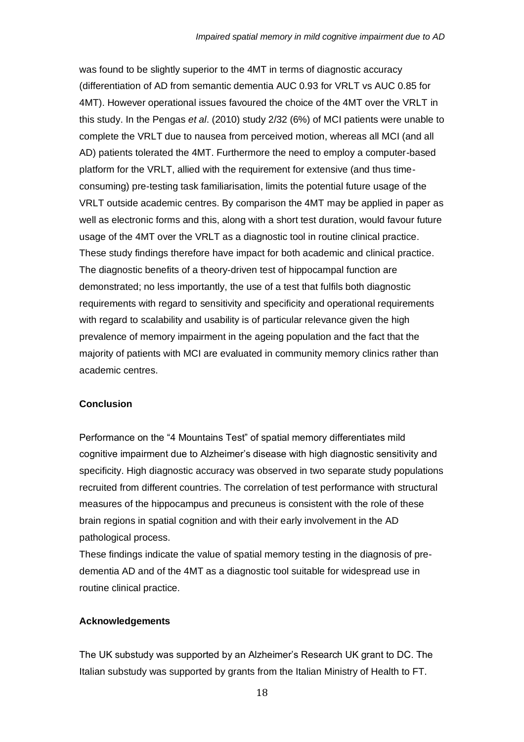was found to be slightly superior to the 4MT in terms of diagnostic accuracy (differentiation of AD from semantic dementia AUC 0.93 for VRLT vs AUC 0.85 for 4MT). However operational issues favoured the choice of the 4MT over the VRLT in this study. In the Pengas *et al*. (2010) study 2/32 (6%) of MCI patients were unable to complete the VRLT due to nausea from perceived motion, whereas all MCI (and all AD) patients tolerated the 4MT. Furthermore the need to employ a computer-based platform for the VRLT, allied with the requirement for extensive (and thus timeconsuming) pre-testing task familiarisation, limits the potential future usage of the VRLT outside academic centres. By comparison the 4MT may be applied in paper as well as electronic forms and this, along with a short test duration, would favour future usage of the 4MT over the VRLT as a diagnostic tool in routine clinical practice. These study findings therefore have impact for both academic and clinical practice. The diagnostic benefits of a theory-driven test of hippocampal function are demonstrated; no less importantly, the use of a test that fulfils both diagnostic requirements with regard to sensitivity and specificity and operational requirements with regard to scalability and usability is of particular relevance given the high prevalence of memory impairment in the ageing population and the fact that the majority of patients with MCI are evaluated in community memory clinics rather than academic centres.

## **Conclusion**

Performance on the "4 Mountains Test" of spatial memory differentiates mild cognitive impairment due to Alzheimer's disease with high diagnostic sensitivity and specificity. High diagnostic accuracy was observed in two separate study populations recruited from different countries. The correlation of test performance with structural measures of the hippocampus and precuneus is consistent with the role of these brain regions in spatial cognition and with their early involvement in the AD pathological process.

These findings indicate the value of spatial memory testing in the diagnosis of predementia AD and of the 4MT as a diagnostic tool suitable for widespread use in routine clinical practice.

## **Acknowledgements**

The UK substudy was supported by an Alzheimer's Research UK grant to DC. The Italian substudy was supported by grants from the Italian Ministry of Health to FT.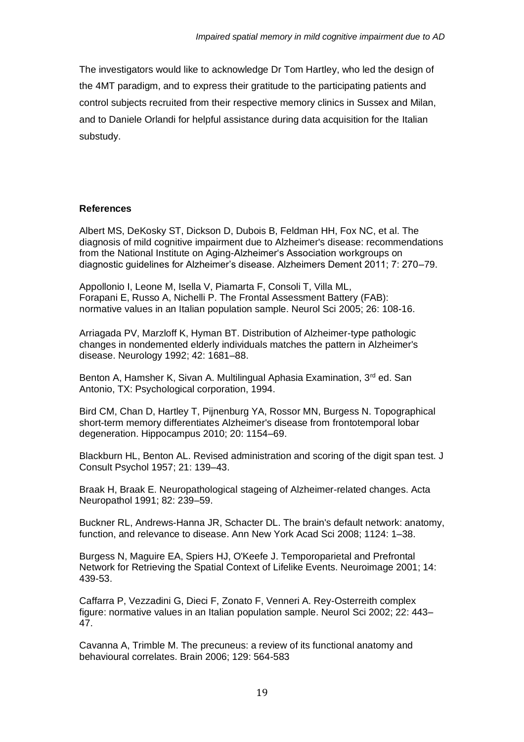The investigators would like to acknowledge Dr Tom Hartley, who led the design of the 4MT paradigm, and to express their gratitude to the participating patients and control subjects recruited from their respective memory clinics in Sussex and Milan, and to Daniele Orlandi for helpful assistance during data acquisition for the Italian substudy.

# **References**

Albert MS, DeKosky ST, Dickson D, Dubois B, Feldman HH, Fox NC, et al. The diagnosis of mild cognitive impairment due to Alzheimer's disease: recommendations from the National Institute on Aging-Alzheimer's Association workgroups on diagnostic guidelines for Alzheimer's disease. Alzheimers Dement 2011; 7: 270–79.

Appollonio I, Leone M, Isella V, Piamarta F, Consoli T, Villa ML, Forapani E, Russo A, Nichelli P. The Frontal Assessment Battery (FAB): normative values in an Italian population sample. Neurol Sci 2005; 26: 108-16.

Arriagada PV, Marzloff K, Hyman BT. Distribution of Alzheimer-type pathologic changes in nondemented elderly individuals matches the pattern in Alzheimer's disease. Neurology 1992; 42: 1681–88.

Benton A, Hamsher K, Sivan A. Multilingual Aphasia Examination, 3<sup>rd</sup> ed. San Antonio, TX: Psychological corporation, 1994.

Bird CM, Chan D, Hartley T, Pijnenburg YA, Rossor MN, Burgess N. Topographical short-term memory differentiates Alzheimer's disease from frontotemporal lobar degeneration. Hippocampus 2010; 20: 1154–69.

Blackburn HL, Benton AL. Revised administration and scoring of the digit span test. J Consult Psychol 1957; 21: 139–43.

Braak H, Braak E. Neuropathological stageing of Alzheimer-related changes. Acta Neuropathol 1991; 82: 239–59.

Buckner RL, Andrews-Hanna JR, Schacter DL. The brain's default network: anatomy, function, and relevance to disease. Ann New York Acad Sci 2008; 1124: 1–38.

Burgess N, Maguire EA, Spiers HJ, O'Keefe J. Temporoparietal and Prefrontal Network for Retrieving the Spatial Context of Lifelike Events. Neuroimage 2001; 14: 439-53.

Caffarra P, Vezzadini G, Dieci F, Zonato F, Venneri A. Rey-Osterreith complex figure: normative values in an Italian population sample. Neurol Sci 2002; 22: 443– 47.

Cavanna A, Trimble M. The precuneus: a review of its functional anatomy and behavioural correlates. Brain 2006; 129: 564-583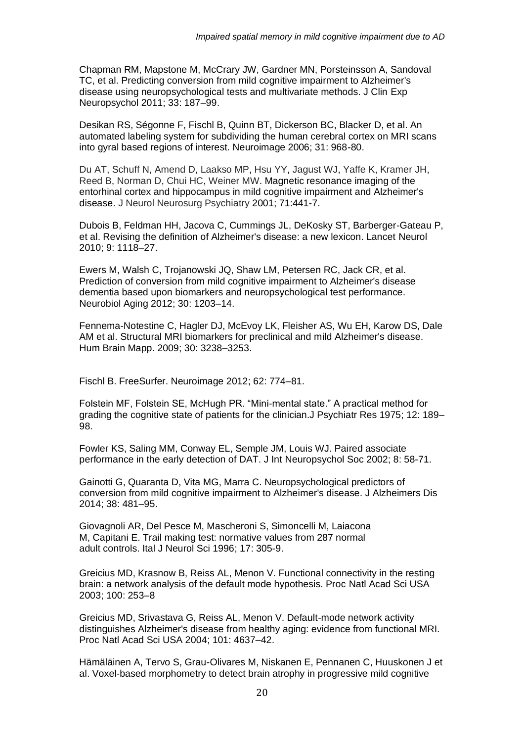Chapman RM, Mapstone M, McCrary JW, Gardner MN, Porsteinsson A, Sandoval TC, et al. Predicting conversion from mild cognitive impairment to Alzheimer's disease using neuropsychological tests and multivariate methods. J Clin Exp Neuropsychol 2011; 33: 187–99.

Desikan RS, Ségonne F, Fischl B, Quinn BT, Dickerson BC, Blacker D, et al. An automated labeling system for subdividing the human cerebral cortex on MRI scans into gyral based regions of interest. Neuroimage 2006; 31: 968-80.

[Du AT,](http://www.ncbi.nlm.nih.gov/pubmed?term=Du%20AT%5BAuthor%5D&cauthor=true&cauthor_uid=11561025) [Schuff N,](http://www.ncbi.nlm.nih.gov/pubmed?term=Schuff%20N%5BAuthor%5D&cauthor=true&cauthor_uid=11561025) [Amend D,](http://www.ncbi.nlm.nih.gov/pubmed?term=Amend%20D%5BAuthor%5D&cauthor=true&cauthor_uid=11561025) [Laakso MP,](http://www.ncbi.nlm.nih.gov/pubmed?term=Laakso%20MP%5BAuthor%5D&cauthor=true&cauthor_uid=11561025) [Hsu YY,](http://www.ncbi.nlm.nih.gov/pubmed?term=Hsu%20YY%5BAuthor%5D&cauthor=true&cauthor_uid=11561025) [Jagust WJ,](http://www.ncbi.nlm.nih.gov/pubmed?term=Jagust%20WJ%5BAuthor%5D&cauthor=true&cauthor_uid=11561025) [Yaffe K,](http://www.ncbi.nlm.nih.gov/pubmed?term=Yaffe%20K%5BAuthor%5D&cauthor=true&cauthor_uid=11561025) [Kramer JH,](http://www.ncbi.nlm.nih.gov/pubmed?term=Kramer%20JH%5BAuthor%5D&cauthor=true&cauthor_uid=11561025) [Reed B,](http://www.ncbi.nlm.nih.gov/pubmed?term=Reed%20B%5BAuthor%5D&cauthor=true&cauthor_uid=11561025) [Norman D,](http://www.ncbi.nlm.nih.gov/pubmed?term=Norman%20D%5BAuthor%5D&cauthor=true&cauthor_uid=11561025) [Chui HC,](http://www.ncbi.nlm.nih.gov/pubmed?term=Chui%20HC%5BAuthor%5D&cauthor=true&cauthor_uid=11561025) [Weiner MW.](http://www.ncbi.nlm.nih.gov/pubmed?term=Weiner%20MW%5BAuthor%5D&cauthor=true&cauthor_uid=11561025) Magnetic resonance imaging of the entorhinal cortex and hippocampus in mild cognitive impairment and Alzheimer's disease. J Neurol Neurosurg Psychiatry 2001; 71:441-7.

Dubois B, Feldman HH, Jacova C, Cummings JL, DeKosky ST, Barberger-Gateau P, et al. Revising the definition of Alzheimer's disease: a new lexicon. Lancet Neurol 2010; 9: 1118–27.

Ewers M, Walsh C, Trojanowski JQ, Shaw LM, Petersen RC, Jack CR, et al. Prediction of conversion from mild cognitive impairment to Alzheimer's disease dementia based upon biomarkers and neuropsychological test performance. Neurobiol Aging 2012; 30: 1203–14.

Fennema-Notestine C, Hagler DJ, McEvoy LK, Fleisher AS, Wu EH, Karow DS, Dale AM et al. Structural MRI biomarkers for preclinical and mild Alzheimer's disease. Hum Brain Mapp. 2009; 30: 3238–3253.

Fischl B. FreeSurfer. Neuroimage 2012; 62: 774–81.

Folstein MF, Folstein SE, McHugh PR. "Mini-mental state." A practical method for grading the cognitive state of patients for the clinician.J Psychiatr Res 1975; 12: 189– 98.

Fowler KS, Saling MM, Conway EL, Semple JM, Louis WJ. Paired associate performance in the early detection of DAT. J Int Neuropsychol Soc 2002; 8: 58-71.

Gainotti G, Quaranta D, Vita MG, Marra C. Neuropsychological predictors of conversion from mild cognitive impairment to Alzheimer's disease. J Alzheimers Dis 2014; 38: 481–95.

Giovagnoli AR, Del Pesce M, Mascheroni S, Simoncelli M, Laiacona M, Capitani E. Trail making test: normative values from 287 normal adult controls. Ital J Neurol Sci 1996; 17: 305-9.

Greicius MD, Krasnow B, Reiss AL, Menon V. Functional connectivity in the resting brain: a network analysis of the default mode hypothesis. Proc Natl Acad Sci USA 2003; 100: 253–8

Greicius MD, Srivastava G, Reiss AL, Menon V. Default-mode network activity distinguishes Alzheimer's disease from healthy aging: evidence from functional MRI. Proc Natl Acad Sci USA 2004; 101: 4637–42.

Hämäläinen A, Tervo S, Grau-Olivares M, Niskanen E, Pennanen C, Huuskonen J et al. Voxel-based morphometry to detect brain atrophy in progressive mild cognitive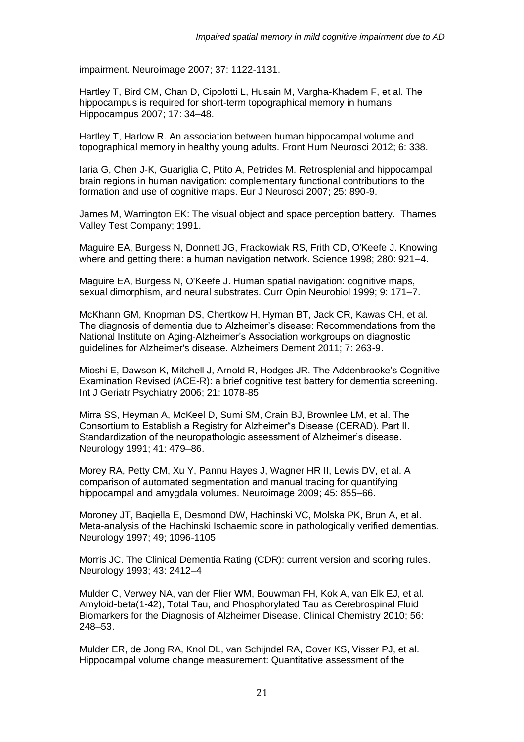impairment. Neuroimage 2007; 37: 1122-1131.

Hartley T, Bird CM, Chan D, Cipolotti L, Husain M, Vargha-Khadem F, et al. The hippocampus is required for short-term topographical memory in humans. Hippocampus 2007; 17: 34–48.

Hartley T, Harlow R. An association between human hippocampal volume and topographical memory in healthy young adults. Front Hum Neurosci 2012; 6: 338.

Iaria G, Chen J-K, Guariglia C, Ptito A, Petrides M. Retrosplenial and hippocampal brain regions in human navigation: complementary functional contributions to the formation and use of cognitive maps. Eur J Neurosci 2007; 25: 890-9.

James M, Warrington EK: The visual object and space perception battery. Thames Valley Test Company; 1991.

Maguire EA, Burgess N, Donnett JG, Frackowiak RS, Frith CD, O'Keefe J. Knowing where and getting there: a human navigation network. Science 1998; 280: 921–4.

Maguire EA, Burgess N, O'Keefe J. Human spatial navigation: cognitive maps, sexual dimorphism, and neural substrates. Curr Opin Neurobiol 1999; 9: 171–7.

McKhann GM, Knopman DS, Chertkow H, Hyman BT, Jack CR, Kawas CH, et al. The diagnosis of dementia due to Alzheimer's disease: Recommendations from the National Institute on Aging-Alzheimer's Association workgroups on diagnostic guidelines for Alzheimer's disease. Alzheimers Dement 2011; 7: 263-9.

Mioshi E, Dawson K, Mitchell J, Arnold R, Hodges JR. The Addenbrooke's Cognitive Examination Revised (ACE-R): a brief cognitive test battery for dementia screening. Int J Geriatr Psychiatry 2006; 21: 1078-85

Mirra SS, Heyman A, McKeel D, Sumi SM, Crain BJ, Brownlee LM, et al. The Consortium to Establish a Registry for Alzheimer"s Disease (CERAD). Part II. Standardization of the neuropathologic assessment of Alzheimer's disease. Neurology 1991; 41: 479–86.

Morey RA, Petty CM, Xu Y, Pannu Hayes J, Wagner HR II, Lewis DV, et al. A comparison of automated segmentation and manual tracing for quantifying hippocampal and amygdala volumes. Neuroimage 2009; 45: 855–66.

Moroney JT, Baqiella E, Desmond DW, Hachinski VC, Molska PK, Brun A, et al. Meta-analysis of the Hachinski Ischaemic score in pathologically verified dementias. Neurology 1997; 49; 1096-1105

Morris JC. The Clinical Dementia Rating (CDR): current version and scoring rules. Neurology 1993; 43: 2412–4

Mulder C, Verwey NA, van der Flier WM, Bouwman FH, Kok A, van Elk EJ, et al. Amyloid-beta(1-42), Total Tau, and Phosphorylated Tau as Cerebrospinal Fluid Biomarkers for the Diagnosis of Alzheimer Disease. Clinical Chemistry 2010; 56: 248–53.

Mulder ER, de Jong RA, Knol DL, van Schijndel RA, Cover KS, Visser PJ, et al. Hippocampal volume change measurement: Quantitative assessment of the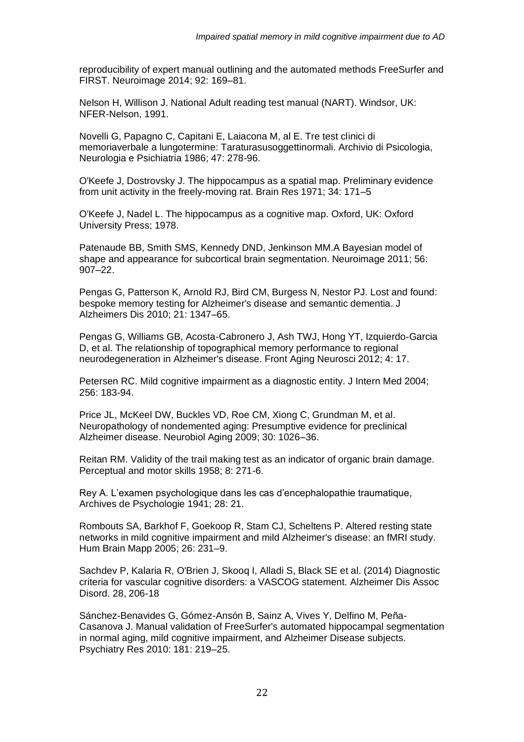reproducibility of expert manual outlining and the automated methods FreeSurfer and FIRST. Neuroimage 2014; 92: 169–81.

Nelson H, Willison J. National Adult reading test manual (NART). Windsor, UK: NFER-Nelson, 1991.

Novelli G, Papagno C, Capitani E, Laiacona M, al E. Tre test clinici di memoriaverbale a lungotermine: Taraturasusoggettinormali. Archivio di Psicologia, Neurologia e Psichiatria 1986; 47: 278-96.

O'Keefe J, Dostrovsky J. The hippocampus as a spatial map. Preliminary evidence from unit activity in the freely-moving rat. Brain Res 1971; 34: 171–5

O'Keefe J, Nadel L. The hippocampus as a cognitive map. Oxford, UK: Oxford University Press; 1978.

Patenaude BB, Smith SMS, Kennedy DND, Jenkinson MM.A Bayesian model of shape and appearance for subcortical brain segmentation. Neuroimage 2011; 56: 907–22.

Pengas G, Patterson K, Arnold RJ, Bird CM, Burgess N, Nestor PJ. Lost and found: bespoke memory testing for Alzheimer's disease and semantic dementia. J Alzheimers Dis 2010; 21: 1347–65.

Pengas G, Williams GB, Acosta-Cabronero J, Ash TWJ, Hong YT, Izquierdo-Garcia D, et al. The relationship of topographical memory performance to regional neurodegeneration in Alzheimer's disease. Front Aging Neurosci 2012; 4: 17.

Petersen RC. Mild cognitive impairment as a diagnostic entity. J Intern Med 2004; 256: 183-94.

Price JL, McKeel DW, Buckles VD, Roe CM, Xiong C, Grundman M, et al. Neuropathology of nondemented aging: Presumptive evidence for preclinical Alzheimer disease. Neurobiol Aging 2009; 30: 1026–36.

Reitan RM. Validity of the trail making test as an indicator of organic brain damage. Perceptual and motor skills 1958; 8: 271-6.

Rey A. L'examen psychologique dans les cas d'encephalopathie traumatique, Archives de Psychologie 1941; 28: 21.

Rombouts SA, Barkhof F, Goekoop R, Stam CJ, Scheltens P. Altered resting state networks in mild cognitive impairment and mild Alzheimer's disease: an fMRI study. Hum Brain Mapp 2005; 26: 231–9.

Sachdev P, Kalaria R, O'Brien J, Skooq I, Alladi S, Black SE et al. (2014) [Diagnostic](http://www.ncbi.nlm.nih.gov/pubmed/24632990)  [criteria for vascular cognitive disorders: a VASCOG statement.](http://www.ncbi.nlm.nih.gov/pubmed/24632990) Alzheimer Dis Assoc Disord. 28, 206-18

Sánchez-Benavides G, Gómez-Ansón B, Sainz A, Vives Y, Delfino M, Peña-Casanova J. Manual validation of FreeSurfer's automated hippocampal segmentation in normal aging, mild cognitive impairment, and Alzheimer Disease subjects. Psychiatry Res 2010: 181: 219–25.